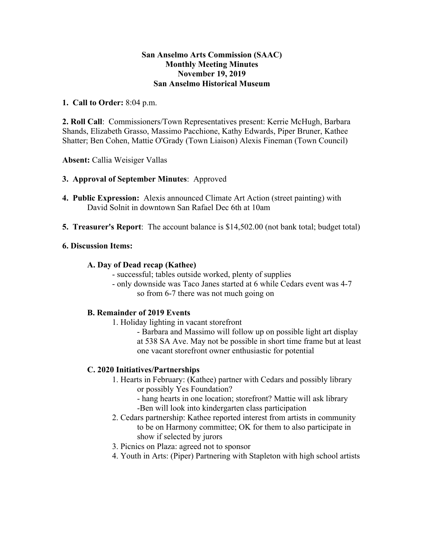# **San Anselmo Arts Commission (SAAC) Monthly Meeting Minutes November 19, 2019 San Anselmo Historical Museum**

**1. Call to Order:** 8:04 p.m.

**2. Roll Call**: Commissioners/Town Representatives present: Kerrie McHugh, Barbara Shands, Elizabeth Grasso, Massimo Pacchione, Kathy Edwards, Piper Bruner, Kathee Shatter; Ben Cohen, Mattie O'Grady (Town Liaison) Alexis Fineman (Town Council)

**Absent:** Callia Weisiger Vallas

## **3. Approval of September Minutes**: Approved

- **4. Public Expression:** Alexis announced Climate Art Action (street painting) with David Solnit in downtown San Rafael Dec 6th at 10am
- **5. Treasurer's Report**: The account balance is \$14,502.00 (not bank total; budget total)

#### **6. Discussion Items:**

#### **A. Day of Dead recap (Kathee)**

- successful; tables outside worked, plenty of supplies
- only downside was Taco Janes started at 6 while Cedars event was 4-7 so from 6-7 there was not much going on

## **B. Remainder of 2019 Events**

- 1. Holiday lighting in vacant storefront
	- Barbara and Massimo will follow up on possible light art display at 538 SA Ave. May not be possible in short time frame but at least one vacant storefront owner enthusiastic for potential

## **C. 2020 Initiatives/Partnerships**

- 1. Hearts in February: (Kathee) partner with Cedars and possibly library or possibly Yes Foundation?
	- hang hearts in one location; storefront? Mattie will ask library -Ben will look into kindergarten class participation
- 2. Cedars partnership: Kathee reported interest from artists in community to be on Harmony committee; OK for them to also participate in show if selected by jurors
- 3. Picnics on Plaza: agreed not to sponsor
- 4. Youth in Arts: (Piper) Partnering with Stapleton with high school artists